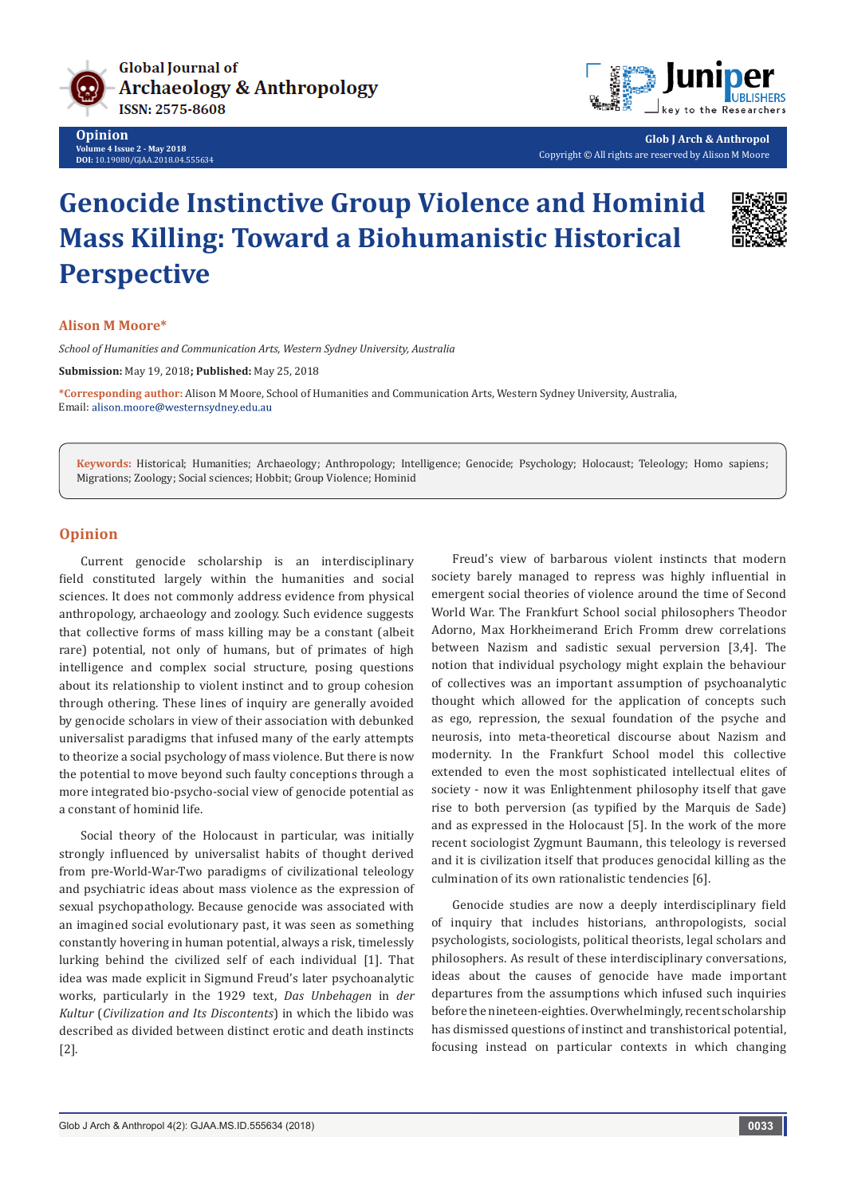

**Opinion Volume 4 Issue 2 - May 2018 DOI:** [10.19080/GJAA.2018.04.555634](http://dx.doi.org/10.19080/GJAA.2018.04.555634)



**Glob J Arch & Anthropol** Copyright © All rights are reserved by Alison M Moore

# **Genocide Instinctive Group Violence and Hominid Mass Killing: Toward a Biohumanistic Historical Perspective**



## **Alison M Moore\***

*School of Humanities and Communication Arts, Western Sydney University, Australia*

**Submission:** May 19, 2018**; Published:** May 25, 2018

**\*Corresponding author:** Alison M Moore, School of Humanities and Communication Arts, Western Sydney University, Australia, Email: alison.moore@westernsydney.edu.au

**Keywords:** Historical; Humanities; Archaeology; Anthropology; Intelligence; Genocide; Psychology; Holocaust; Teleology; Homo sapiens; Migrations; Zoology; Social sciences; Hobbit; Group Violence; Hominid

## **Opinion**

Current genocide scholarship is an interdisciplinary field constituted largely within the humanities and social sciences. It does not commonly address evidence from physical anthropology, archaeology and zoology. Such evidence suggests that collective forms of mass killing may be a constant (albeit rare) potential, not only of humans, but of primates of high intelligence and complex social structure, posing questions about its relationship to violent instinct and to group cohesion through othering. These lines of inquiry are generally avoided by genocide scholars in view of their association with debunked universalist paradigms that infused many of the early attempts to theorize a social psychology of mass violence. But there is now the potential to move beyond such faulty conceptions through a more integrated bio-psycho-social view of genocide potential as a constant of hominid life.

Social theory of the Holocaust in particular, was initially strongly influenced by universalist habits of thought derived from pre-World-War-Two paradigms of civilizational teleology and psychiatric ideas about mass violence as the expression of sexual psychopathology. Because genocide was associated with an imagined social evolutionary past, it was seen as something constantly hovering in human potential, always a risk, timelessly lurking behind the civilized self of each individual [1]. That idea was made explicit in Sigmund Freud's later psychoanalytic works, particularly in the 1929 text, *Das Unbehagen* in *der Kultur* (*Civilization and Its Discontents*) in which the libido was described as divided between distinct erotic and death instincts [2].

Freud's view of barbarous violent instincts that modern society barely managed to repress was highly influential in emergent social theories of violence around the time of Second World War. The Frankfurt School social philosophers Theodor Adorno, Max Horkheimerand Erich Fromm drew correlations between Nazism and sadistic sexual perversion [3,4]. The notion that individual psychology might explain the behaviour of collectives was an important assumption of psychoanalytic thought which allowed for the application of concepts such as ego, repression, the sexual foundation of the psyche and neurosis, into meta-theoretical discourse about Nazism and modernity. In the Frankfurt School model this collective extended to even the most sophisticated intellectual elites of society - now it was Enlightenment philosophy itself that gave rise to both perversion (as typified by the Marquis de Sade) and as expressed in the Holocaust [5]. In the work of the more recent sociologist Zygmunt Baumann, this teleology is reversed and it is civilization itself that produces genocidal killing as the culmination of its own rationalistic tendencies [6].

Genocide studies are now a deeply interdisciplinary field of inquiry that includes historians, anthropologists, social psychologists, sociologists, political theorists, legal scholars and philosophers. As result of these interdisciplinary conversations, ideas about the causes of genocide have made important departures from the assumptions which infused such inquiries before the nineteen-eighties. Overwhelmingly, recent scholarship has dismissed questions of instinct and transhistorical potential, focusing instead on particular contexts in which changing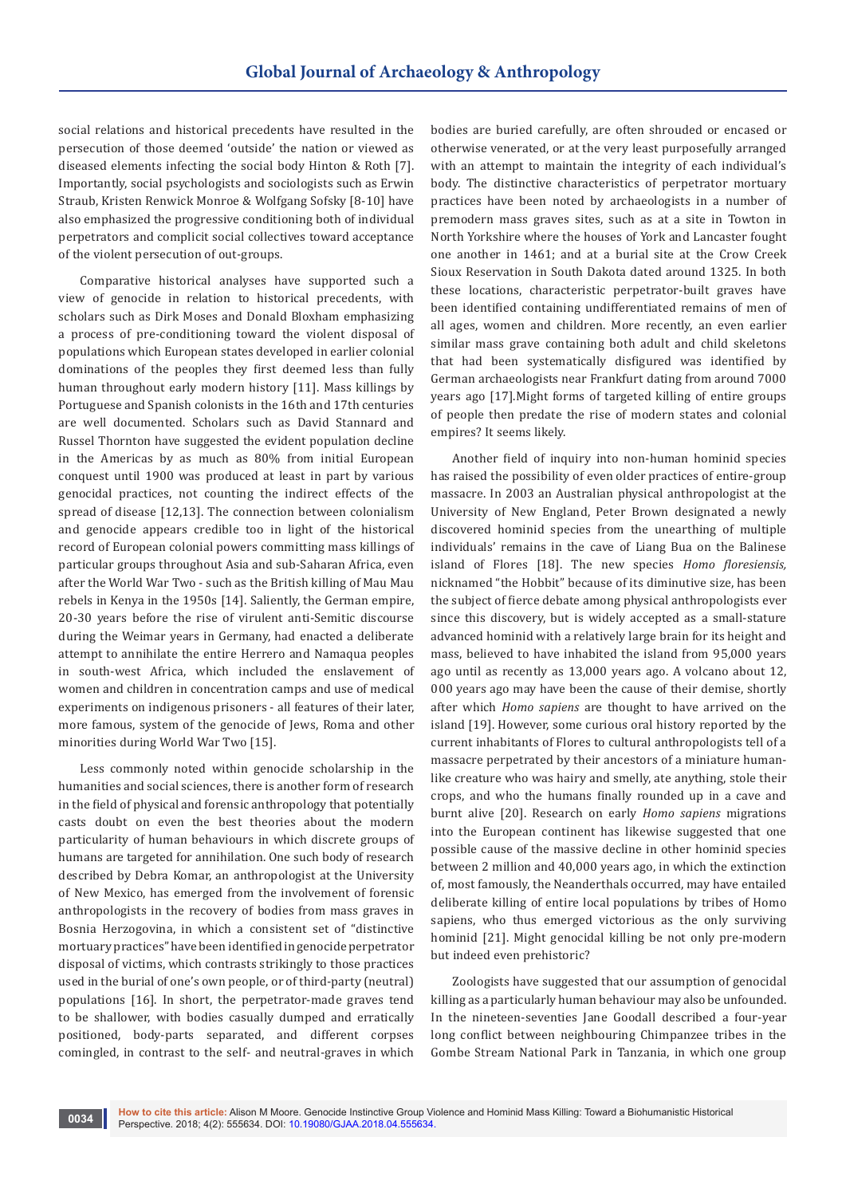social relations and historical precedents have resulted in the persecution of those deemed 'outside' the nation or viewed as diseased elements infecting the social body Hinton & Roth [7]. Importantly, social psychologists and sociologists such as Erwin Straub, Kristen Renwick Monroe & Wolfgang Sofsky [8-10] have also emphasized the progressive conditioning both of individual perpetrators and complicit social collectives toward acceptance of the violent persecution of out-groups.

Comparative historical analyses have supported such a view of genocide in relation to historical precedents, with scholars such as Dirk Moses and Donald Bloxham emphasizing a process of pre-conditioning toward the violent disposal of populations which European states developed in earlier colonial dominations of the peoples they first deemed less than fully human throughout early modern history [11]. Mass killings by Portuguese and Spanish colonists in the 16th and 17th centuries are well documented. Scholars such as David Stannard and Russel Thornton have suggested the evident population decline in the Americas by as much as 80% from initial European conquest until 1900 was produced at least in part by various genocidal practices, not counting the indirect effects of the spread of disease [12,13]. The connection between colonialism and genocide appears credible too in light of the historical record of European colonial powers committing mass killings of particular groups throughout Asia and sub-Saharan Africa, even after the World War Two - such as the British killing of Mau Mau rebels in Kenya in the 1950s [14]. Saliently, the German empire, 20-30 years before the rise of virulent anti-Semitic discourse during the Weimar years in Germany, had enacted a deliberate attempt to annihilate the entire Herrero and Namaqua peoples in south-west Africa, which included the enslavement of women and children in concentration camps and use of medical experiments on indigenous prisoners - all features of their later, more famous, system of the genocide of Jews, Roma and other minorities during World War Two [15].

Less commonly noted within genocide scholarship in the humanities and social sciences, there is another form of research in the field of physical and forensic anthropology that potentially casts doubt on even the best theories about the modern particularity of human behaviours in which discrete groups of humans are targeted for annihilation. One such body of research described by Debra Komar, an anthropologist at the University of New Mexico, has emerged from the involvement of forensic anthropologists in the recovery of bodies from mass graves in Bosnia Herzogovina, in which a consistent set of "distinctive mortuary practices" have been identified in genocide perpetrator disposal of victims, which contrasts strikingly to those practices used in the burial of one's own people, or of third-party (neutral) populations [16]. In short, the perpetrator-made graves tend to be shallower, with bodies casually dumped and erratically positioned, body-parts separated, and different corpses comingled, in contrast to the self- and neutral-graves in which

bodies are buried carefully, are often shrouded or encased or otherwise venerated, or at the very least purposefully arranged with an attempt to maintain the integrity of each individual's body. The distinctive characteristics of perpetrator mortuary practices have been noted by archaeologists in a number of premodern mass graves sites, such as at a site in Towton in North Yorkshire where the houses of York and Lancaster fought one another in 1461; and at a burial site at the Crow Creek Sioux Reservation in South Dakota dated around 1325. In both these locations, characteristic perpetrator-built graves have been identified containing undifferentiated remains of men of all ages, women and children. More recently, an even earlier similar mass grave containing both adult and child skeletons that had been systematically disfigured was identified by German archaeologists near Frankfurt dating from around 7000 years ago [17].Might forms of targeted killing of entire groups of people then predate the rise of modern states and colonial empires? It seems likely.

Another field of inquiry into non-human hominid species has raised the possibility of even older practices of entire-group massacre. In 2003 an Australian physical anthropologist at the University of New England, Peter Brown designated a newly discovered hominid species from the unearthing of multiple individuals' remains in the cave of Liang Bua on the Balinese island of Flores [18]. The new species *Homo floresiensis,*  nicknamed "the Hobbit" because of its diminutive size, has been the subject of fierce debate among physical anthropologists ever since this discovery, but is widely accepted as a small-stature advanced hominid with a relatively large brain for its height and mass, believed to have inhabited the island from 95,000 years ago until as recently as 13,000 years ago. A volcano about 12, 000 years ago may have been the cause of their demise, shortly after which *Homo sapiens* are thought to have arrived on the island [19]. However, some curious oral history reported by the current inhabitants of Flores to cultural anthropologists tell of a massacre perpetrated by their ancestors of a miniature humanlike creature who was hairy and smelly, ate anything, stole their crops, and who the humans finally rounded up in a cave and burnt alive [20]. Research on early *Homo sapiens* migrations into the European continent has likewise suggested that one possible cause of the massive decline in other hominid species between 2 million and 40,000 years ago, in which the extinction of, most famously, the Neanderthals occurred, may have entailed deliberate killing of entire local populations by tribes of Homo sapiens, who thus emerged victorious as the only surviving hominid [21]. Might genocidal killing be not only pre-modern but indeed even prehistoric?

Zoologists have suggested that our assumption of genocidal killing as a particularly human behaviour may also be unfounded. In the nineteen-seventies Jane Goodall described a four-year long conflict between neighbouring Chimpanzee tribes in the Gombe Stream National Park in Tanzania, in which one group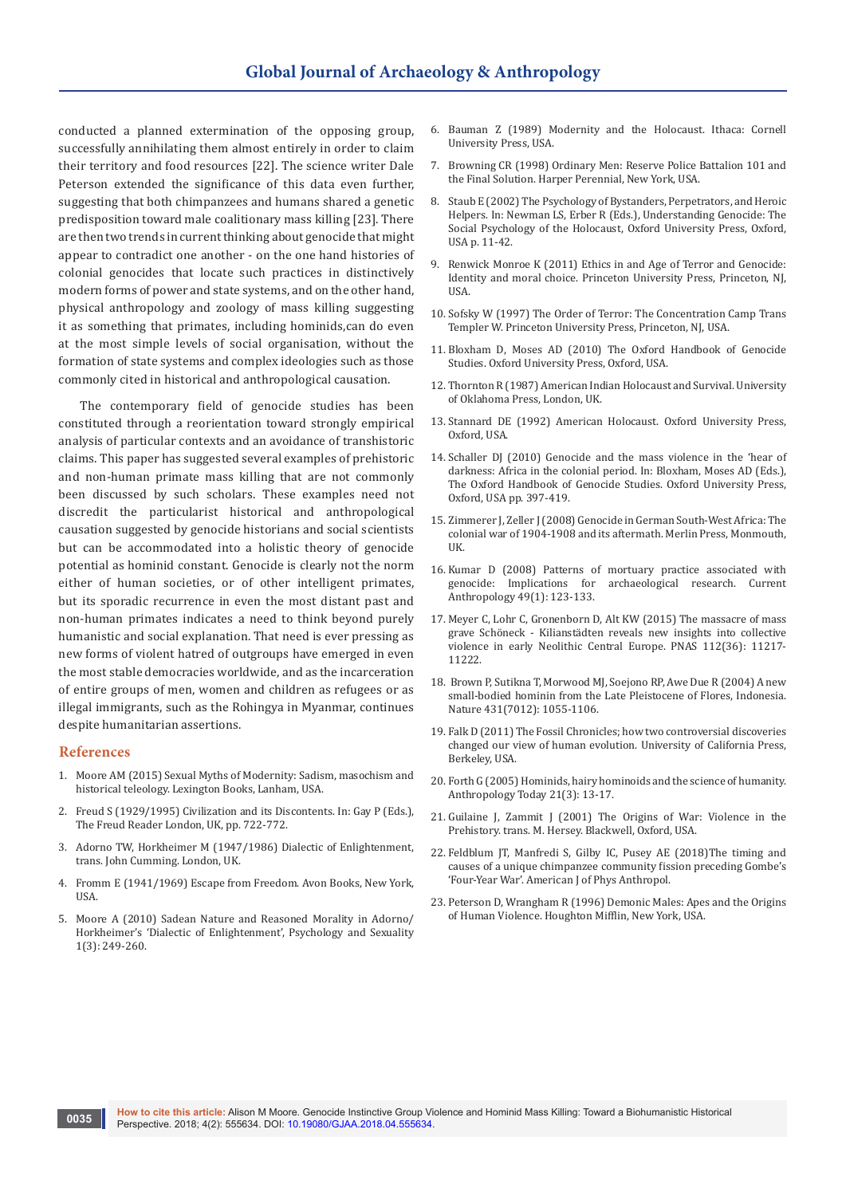conducted a planned extermination of the opposing group, successfully annihilating them almost entirely in order to claim their territory and food resources [22]. The science writer Dale Peterson extended the significance of this data even further, suggesting that both chimpanzees and humans shared a genetic predisposition toward male coalitionary mass killing [23]. There are then two trends in current thinking about genocide that might appear to contradict one another - on the one hand histories of colonial genocides that locate such practices in distinctively modern forms of power and state systems, and on the other hand, physical anthropology and zoology of mass killing suggesting it as something that primates, including hominids,can do even at the most simple levels of social organisation, without the formation of state systems and complex ideologies such as those commonly cited in historical and anthropological causation.

The contemporary field of genocide studies has been constituted through a reorientation toward strongly empirical analysis of particular contexts and an avoidance of transhistoric claims. This paper has suggested several examples of prehistoric and non-human primate mass killing that are not commonly been discussed by such scholars. These examples need not discredit the particularist historical and anthropological causation suggested by genocide historians and social scientists but can be accommodated into a holistic theory of genocide potential as hominid constant. Genocide is clearly not the norm either of human societies, or of other intelligent primates, but its sporadic recurrence in even the most distant past and non-human primates indicates a need to think beyond purely humanistic and social explanation. That need is ever pressing as new forms of violent hatred of outgroups have emerged in even the most stable democracies worldwide, and as the incarceration of entire groups of men, women and children as refugees or as illegal immigrants, such as the Rohingya in Myanmar, continues despite humanitarian assertions.

#### **References**

- 1. Moore AM (2015) Sexual Myths of Modernity: Sadism, masochism and historical teleology. Lexington Books, Lanham, USA.
- 2. Freud S (1929/1995) Civilization and its Discontents. In: Gay P (Eds.), The Freud Reader London, UK, pp. 722-772.
- 3. Adorno TW, Horkheimer M (1947/1986) Dialectic of Enlightenment, trans. John Cumming. London, UK.
- 4. Fromm E (1941/1969) Escape from Freedom. Avon Books, New York, **IISA**
- 5. Moore A (2010) Sadean Nature and Reasoned Morality in Adorno/ Horkheimer's 'Dialectic of Enlightenment', Psychology and Sexuality 1(3): 249-260.
- 6. Bauman Z (1989) Modernity and the Holocaust. Ithaca: Cornell University Press, USA.
- 7. Browning CR (1998) Ordinary Men: Reserve Police Battalion 101 and the Final Solution. Harper Perennial, New York, USA.
- 8. Staub E (2002) The Psychology of Bystanders, Perpetrators, and Heroic Helpers. In: Newman LS, Erber R (Eds.), Understanding Genocide: The Social Psychology of the Holocaust, Oxford University Press, Oxford, USA p. 11-42.
- 9. Renwick Monroe K (2011) Ethics in and Age of Terror and Genocide: Identity and moral choice. Princeton University Press, Princeton, NJ, USA.
- 10. Sofsky W (1997) The Order of Terror: The Concentration Camp Trans Templer W. Princeton University Press, Princeton, NJ, USA.
- 11. Bloxham D, Moses AD (2010) The Oxford Handbook of Genocide Studies. Oxford University Press, Oxford, USA.
- 12. Thornton R (1987) American Indian Holocaust and Survival. University of Oklahoma Press, London, UK.
- 13. Stannard DE (1992) American Holocaust. Oxford University Press, Oxford, USA.
- 14. Schaller DJ (2010) Genocide and the mass violence in the 'hear of darkness: Africa in the colonial period. In: Bloxham, Moses AD (Eds.), The Oxford Handbook of Genocide Studies. Oxford University Press, Oxford, USA pp. 397-419.
- 15. Zimmerer J, Zeller J (2008) Genocide in German South-West Africa: The colonial war of 1904-1908 and its aftermath. Merlin Press, Monmouth, **IIK**
- 16. [Kumar D \(2008\) Patterns of mortuary practice associated with](https://www.journals.uchicago.edu/doi/abs/10.1086/524761)  [genocide: Implications for archaeological research. Current](https://www.journals.uchicago.edu/doi/abs/10.1086/524761)  [Anthropology 49\(1\): 123-133.](https://www.journals.uchicago.edu/doi/abs/10.1086/524761)
- 17. [Meyer C, Lohr C, Gronenborn D, Alt KW \(2015\) The massacre of mass](http://www.pnas.org/content/112/36/11217)  [grave Schöneck - Kilianstädten reveals new insights into collective](http://www.pnas.org/content/112/36/11217)  [violence in early Neolithic Central Europe. PNAS 112\(36\): 11217-](http://www.pnas.org/content/112/36/11217) [11222.](http://www.pnas.org/content/112/36/11217)
- 18. [Brown P, Sutikna T, Morwood MJ, Soejono RP, Awe Due R \(2004\) A new](https://www.ncbi.nlm.nih.gov/pubmed/15514638)  [small-bodied hominin from the Late Pleistocene of Flores, Indonesia.](https://www.ncbi.nlm.nih.gov/pubmed/15514638)  [Nature 431\(7012\): 1055-1106.](https://www.ncbi.nlm.nih.gov/pubmed/15514638)
- 19. Falk D (2011) The Fossil Chronicles; how two controversial discoveries changed our view of human evolution. University of California Press, Berkeley, USA.
- 20. [Forth G \(2005\) Hominids, hairy hominoids and the science of humanity.](https://onlinelibrary.wiley.com/doi/abs/10.1111/j.0268-540X.2005.00353.x)  [Anthropology Today 21\(3\): 13-17.](https://onlinelibrary.wiley.com/doi/abs/10.1111/j.0268-540X.2005.00353.x)
- 21. Guilaine J, Zammit J (2001) The Origins of War: Violence in the Prehistory. trans. M. Hersey. Blackwell, Oxford, USA.
- 22. [Feldblum JT, Manfredi S, Gilby IC, Pusey AE \(2018\)The timing and](https://www.ncbi.nlm.nih.gov/pubmed/29566432)  [causes of a unique chimpanzee community fission preceding Gombe's](https://www.ncbi.nlm.nih.gov/pubmed/29566432)  'Four-Year War'. [American J of Phys Anthropol.](https://www.ncbi.nlm.nih.gov/pubmed/29566432)
- 23. Peterson D, Wrangham R (1996) Demonic Males: Apes and the Origins of Human Violence. Houghton Mifflin, New York, USA.